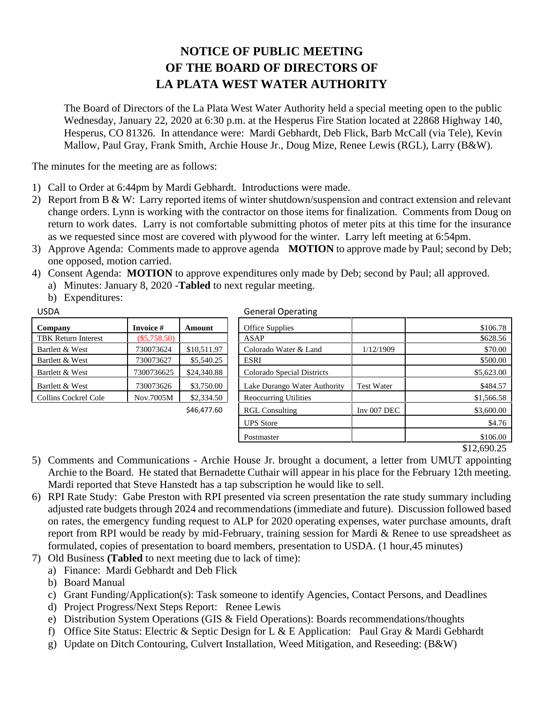## **NOTICE OF PUBLIC MEETING OF THE BOARD OF DIRECTORS OF LA PLATA WEST WATER AUTHORITY**

The Board of Directors of the La Plata West Water Authority held a special meeting open to the public Wednesday, January 22, 2020 at 6:30 p.m. at the Hesperus Fire Station located at 22868 Highway 140, Hesperus, CO 81326. In attendance were: Mardi Gebhardt, Deb Flick, Barb McCall (via Tele), Kevin Mallow, Paul Gray, Frank Smith, Archie House Jr., Doug Mize, Renee Lewis (RGL), Larry (B&W).

The minutes for the meeting are as follows:

- 1) Call to Order at 6:44pm by Mardi Gebhardt. Introductions were made.
- 2) Report from B & W: Larry reported items of winter shutdown/suspension and contract extension and relevant change orders. Lynn is working with the contractor on those items for finalization. Comments from Doug on return to work dates. Larry is not comfortable submitting photos of meter pits at this time for the insurance as we requested since most are covered with plywood for the winter. Larry left meeting at 6:54pm.
- 3) Approve Agenda: Comments made to approve agenda **MOTION** to approve made by Paul; second by Deb; one opposed, motion carried.
- 4) Consent Agenda: **MOTION** to approve expenditures only made by Deb; second by Paul; all approved.
	- a) Minutes: January 8, 2020 -**Tabled** to next regular meeting.
	- b) Expenditures:

| Company                    | Invoice #      | Amount      |
|----------------------------|----------------|-------------|
| <b>TBK Return Interest</b> | $(\$5,758.50)$ |             |
| Bartlett & West            | 730073624      | \$10,511.97 |
| Bartlett & West            | 730073627      | \$5,540.25  |
| Bartlett & West            | 7300736625     | \$24,340.88 |
| Bartlett & West            | 730073626      | \$3,750.00  |
| Collins Cockrel Cole       | Nov.7005M      | \$2,334.50  |
|                            |                |             |

## USDA General Operating

| Company              | <b>Invoice</b> # | Amount      | Office Supplies              |                   | \$106.78   |
|----------------------|------------------|-------------|------------------------------|-------------------|------------|
| TBK Return Interest  | $(\$5,758.50)$   |             | ASAP                         |                   | \$628.56   |
| Bartlett & West      | 730073624        | \$10,511.97 | Colorado Water & Land        | 1/12/1909         | \$70.00    |
| Bartlett & West      | 730073627        | \$5,540.25  | <b>ESRI</b>                  |                   | \$500.00   |
| Bartlett & West      | 7300736625       | \$24,340.88 | Colorado Special Districts   |                   | \$5,623.00 |
| Bartlett & West      | 730073626        | \$3,750.00  | Lake Durango Water Authority | <b>Test Water</b> | \$484.57   |
| Collins Cockrel Cole | Nov.7005M        | \$2,334.50  | <b>Reoccurring Utilities</b> |                   | \$1,566.58 |
|                      |                  | \$46,477.60 | <b>RGL Consulting</b>        | Inv $007$ DEC     | \$3,600.00 |
|                      |                  |             | <b>UPS</b> Store             |                   | \$4.76     |
|                      |                  |             | Postmaster                   |                   | \$106.00   |

\$12,690.25

- 5) Comments and Communications Archie House Jr. brought a document, a letter from UMUT appointing Archie to the Board. He stated that Bernadette Cuthair will appear in his place for the February 12th meeting. Mardi reported that Steve Hanstedt has a tap subscription he would like to sell.
- 6) RPI Rate Study: Gabe Preston with RPI presented via screen presentation the rate study summary including adjusted rate budgets through 2024 and recommendations (immediate and future). Discussion followed based on rates, the emergency funding request to ALP for 2020 operating expenses, water purchase amounts, draft report from RPI would be ready by mid-February, training session for Mardi & Renee to use spreadsheet as formulated, copies of presentation to board members, presentation to USDA. (1 hour,45 minutes)
- 7) Old Business **(Tabled** to next meeting due to lack of time):
	- a) Finance: Mardi Gebhardt and Deb Flick
	- b) Board Manual
	- c) Grant Funding/Application(s): Task someone to identify Agencies, Contact Persons, and Deadlines
	- d) Project Progress/Next Steps Report: Renee Lewis
	- e) Distribution System Operations (GIS & Field Operations): Boards recommendations/thoughts
	- f) Office Site Status: Electric & Septic Design for L & E Application: Paul Gray & Mardi Gebhardt
	- g) Update on Ditch Contouring, Culvert Installation, Weed Mitigation, and Reseeding: (B&W)